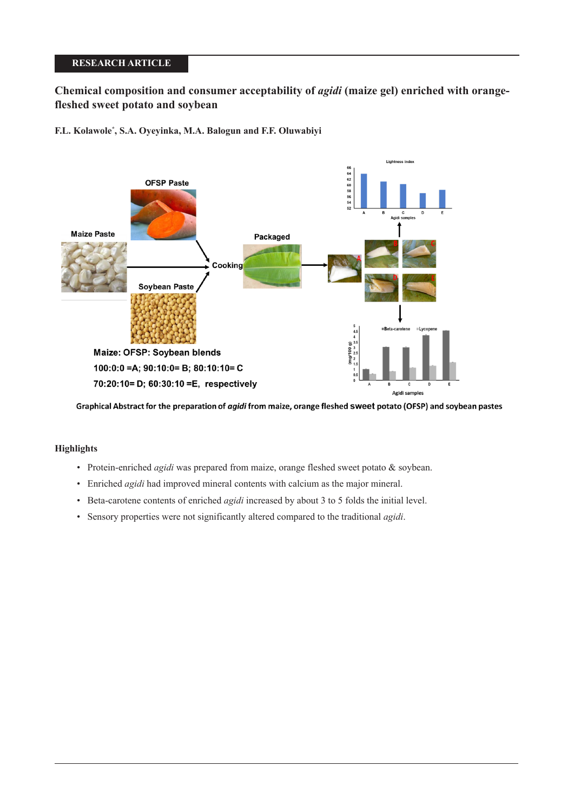## **RESEARCH ARTICLE**

# **Chemical composition and consumer acceptability of** *agidi* **(maize gel) enriched with orangefleshed sweet potato and soybean**

**F.L. Kolawole\* , S.A. Oyeyinka, M.A. Balogun and F.F. Oluwabiyi**



Graphical Abstract for the preparation of agidi from maize, orange fleshed sweet potato (OFSP) and soybean pastes

## **Highlights**

- Protein-enriched *agidi* was prepared from maize, orange fleshed sweet potato & soybean.
- Enriched *agidi* had improved mineral contents with calcium as the major mineral.
- Beta-carotene contents of enriched *agidi* increased by about 3 to 5 folds the initial level.
- Sensory properties were not significantly altered compared to the traditional *agidi*.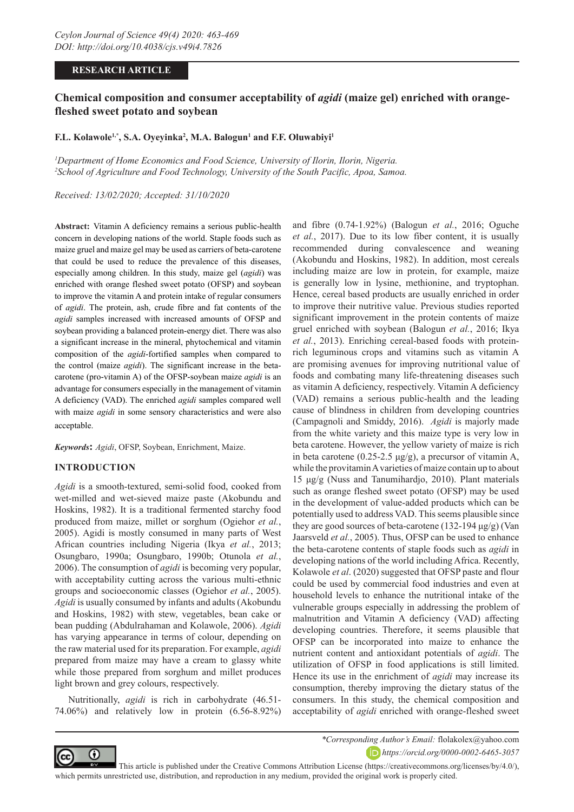### **RESEARCH ARTICLE**

# **Chemical composition and consumer acceptability of** *agidi* **(maize gel) enriched with orangefleshed sweet potato and soybean**

### **F.L. Kolawole1,\*, S.A. Oyeyinka2 , M.A. Balogun1 and F.F. Oluwabiyi1**

*1 Department of Home Economics and Food Science, University of Ilorin, Ilorin, Nigeria. 2 School of Agriculture and Food Technology, University of the South Pacific, Apoa, Samoa.*

*Received: 13/02/2020; Accepted: 31/10/2020*

**Abstract:** Vitamin A deficiency remains a serious public-health concern in developing nations of the world. Staple foods such as maize gruel and maize gel may be used as carriers of beta-carotene that could be used to reduce the prevalence of this diseases, especially among children. In this study, maize gel (*agidi*) was enriched with orange fleshed sweet potato (OFSP) and soybean to improve the vitamin A and protein intake of regular consumers of *agidi*. The protein, ash, crude fibre and fat contents of the *agidi* samples increased with increased amounts of OFSP and soybean providing a balanced protein-energy diet. There was also a significant increase in the mineral, phytochemical and vitamin composition of the *agidi*-fortified samples when compared to the control (maize *agidi*). The significant increase in the betacarotene (pro-vitamin A) of the OFSP-soybean maize *agidi* is an advantage for consumers especially in the management of vitamin A deficiency (VAD). The enriched *agidi* samples compared well with maize *agidi* in some sensory characteristics and were also acceptable.

*Keywords***:** *Agidi*, OFSP, Soybean, Enrichment, Maize.

#### **INTRODUCTION**

*Agidi* is a smooth-textured, semi-solid food, cooked from wet-milled and wet-sieved maize paste (Akobundu and Hoskins, 1982). It is a traditional fermented starchy food produced from maize, millet or sorghum (Ogiehor *et al.*, 2005). Agidi is mostly consumed in many parts of West African countries including Nigeria (Ikya *et al.*, 2013; Osungbaro, 1990a; Osungbaro, 1990b; Otunola *et al.*, 2006). The consumption of *agidi* is becoming very popular, with acceptability cutting across the various multi-ethnic groups and socioeconomic classes (Ogiehor *et al.*, 2005). *Agidi* is usually consumed by infants and adults (Akobundu and Hoskins, 1982) with stew, vegetables, bean cake or bean pudding (Abdulrahaman and Kolawole, 2006). *Agidi* has varying appearance in terms of colour, depending on the raw material used for its preparation. For example, *agidi* prepared from maize may have a cream to glassy white while those prepared from sorghum and millet produces light brown and grey colours, respectively.

Nutritionally, *agidi* is rich in carbohydrate (46.51- 74.06%) and relatively low in protein (6.56-8.92%)

and fibre (0.74-1.92%) (Balogun *et al.*, 2016; Oguche *et al.*, 2017). Due to its low fiber content, it is usually recommended during convalescence and weaning (Akobundu and Hoskins, 1982). In addition, most cereals including maize are low in protein, for example, maize is generally low in lysine, methionine, and tryptophan. Hence, cereal based products are usually enriched in order to improve their nutritive value. Previous studies reported significant improvement in the protein contents of maize gruel enriched with soybean (Balogun *et al.*, 2016; Ikya *et al.*, 2013). Enriching cereal-based foods with proteinrich leguminous crops and vitamins such as vitamin A are promising avenues for improving nutritional value of foods and combating many life-threatening diseases such as vitamin A deficiency, respectively. Vitamin A deficiency (VAD) remains a serious public-health and the leading cause of blindness in children from developing countries (Campagnoli and Smiddy, 2016). *Agidi* is majorly made from the white variety and this maize type is very low in beta carotene. However, the yellow variety of maize is rich in beta carotene  $(0.25{\text -}2.5 \,\mu g/g)$ , a precursor of vitamin A, while the provitamin A varieties of maize contain up to about 15 μg/g (Nuss and Tanumihardjo, 2010). Plant materials such as orange fleshed sweet potato (OFSP) may be used in the development of value-added products which can be potentially used to address VAD. This seems plausible since they are good sources of beta-carotene (132-194 μg/g) (Van Jaarsveld *et al.*, 2005). Thus, OFSP can be used to enhance the beta-carotene contents of staple foods such as *agidi* in developing nations of the world including Africa. Recently, Kolawole *et al*. (2020) suggested that OFSP paste and flour could be used by commercial food industries and even at household levels to enhance the nutritional intake of the vulnerable groups especially in addressing the problem of malnutrition and Vitamin A deficiency (VAD) affecting developing countries. Therefore, it seems plausible that OFSP can be incorporated into maize to enhance the nutrient content and antioxidant potentials of *agidi*. The utilization of OFSP in food applications is still limited. Hence its use in the enrichment of *agidi* may increase its consumption, thereby improving the dietary status of the consumers. In this study, the chemical composition and acceptability of *agidi* enriched with orange-fleshed sweet



*\*Corresponding Author's Email:* flolakolex@yahoo.com *https://orcid.org/0000-0002-6465-3057*

 This article is published under the Creative Commons Attribution License (https://creativecommons.org/licenses/by/4.0/), which permits unrestricted use, distribution, and reproduction in any medium, provided the original work is properly cited.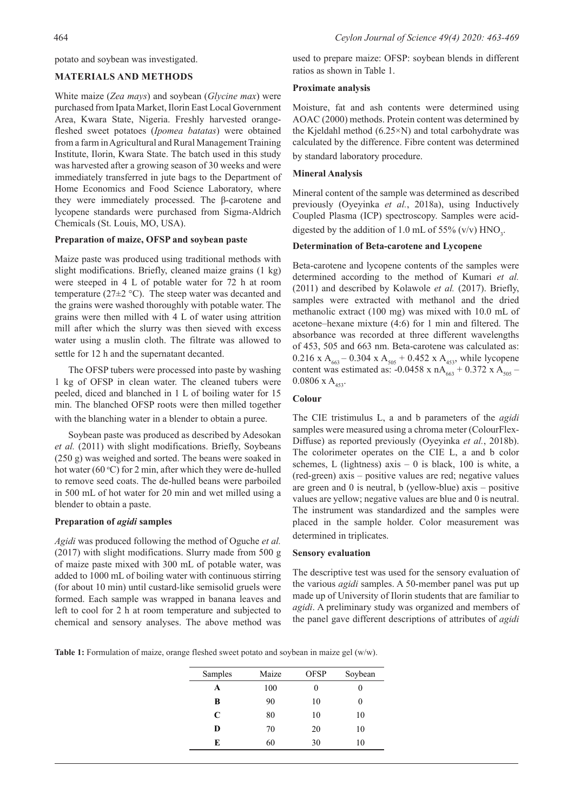potato and soybean was investigated.

### **MATERIALS AND METHODS**

White maize (*Zea mays*) and soybean (*Glycine max*) were purchased from Ipata Market, Ilorin East Local Government Area, Kwara State, Nigeria. Freshly harvested orangefleshed sweet potatoes (*Ipomea batatas*) were obtained from a farm in Agricultural and Rural Management Training Institute, Ilorin, Kwara State. The batch used in this study was harvested after a growing season of 30 weeks and were immediately transferred in jute bags to the Department of Home Economics and Food Science Laboratory, where they were immediately processed. The β-carotene and lycopene standards were purchased from Sigma-Aldrich Chemicals (St. Louis, MO, USA).

### **Preparation of maize, OFSP and soybean paste**

Maize paste was produced using traditional methods with slight modifications. Briefly, cleaned maize grains (1 kg) were steeped in 4 L of potable water for 72 h at room temperature ( $27\pm2$  °C). The steep water was decanted and the grains were washed thoroughly with potable water. The grains were then milled with 4 L of water using attrition mill after which the slurry was then sieved with excess water using a muslin cloth. The filtrate was allowed to settle for 12 h and the supernatant decanted.

The OFSP tubers were processed into paste by washing 1 kg of OFSP in clean water. The cleaned tubers were peeled, diced and blanched in 1 L of boiling water for 15 min. The blanched OFSP roots were then milled together with the blanching water in a blender to obtain a puree.

Soybean paste was produced as described by Adesokan *et al.* (2011) with slight modifications. Briefly, Soybeans (250 g) was weighed and sorted. The beans were soaked in hot water (60 °C) for 2 min, after which they were de-hulled to remove seed coats. The de-hulled beans were parboiled in 500 mL of hot water for 20 min and wet milled using a blender to obtain a paste.

### **Preparation of** *agidi* **samples**

*Agidi* was produced following the method of Oguche *et al.* (2017) with slight modifications. Slurry made from 500 g of maize paste mixed with 300 mL of potable water, was added to 1000 mL of boiling water with continuous stirring (for about 10 min) until custard-like semisolid gruels were formed. Each sample was wrapped in banana leaves and left to cool for 2 h at room temperature and subjected to chemical and sensory analyses. The above method was

used to prepare maize: OFSP: soybean blends in different ratios as shown in Table 1.

### **Proximate analysis**

Moisture, fat and ash contents were determined using AOAC (2000) methods. Protein content was determined by the Kjeldahl method (6.25×N) and total carbohydrate was calculated by the difference. Fibre content was determined by standard laboratory procedure.

#### **Mineral Analysis**

Mineral content of the sample was determined as described previously (Oyeyinka *et al.*, 2018a), using Inductively Coupled Plasma (ICP) spectroscopy. Samples were aciddigested by the addition of 1.0 mL of 55% (v/v)  $HNO_3$ .

### **Determination of Beta-carotene and Lycopene**

Beta-carotene and lycopene contents of the samples were determined according to the method of Kumari *et al.* (2011) and described by Kolawole *et al.* (2017). Briefly, samples were extracted with methanol and the dried methanolic extract (100 mg) was mixed with 10.0 mL of acetone–hexane mixture (4:6) for 1 min and filtered. The absorbance was recorded at three different wavelengths of 453, 505 and 663 nm. Beta-carotene was calculated as: 0.216 x A<sub>663</sub> – 0.304 x A<sub>505</sub> + 0.452 x A<sub>453</sub>, while lycopene content was estimated as: -0.0458 x nA<sub>663</sub> + 0.372 x A<sub>505</sub> –  $0.0806$  x A<sub>453</sub>.

### **Colour**

The CIE tristimulus L, a and b parameters of the *agidi* samples were measured using a chroma meter (ColourFlex-Diffuse) as reported previously (Oyeyinka *et al.*, 2018b). The colorimeter operates on the CIE L, a and b color schemes, L (lightness) axis  $-0$  is black, 100 is white, a (red-green) axis – positive values are red; negative values are green and  $\theta$  is neutral, b (yellow-blue) axis – positive values are yellow; negative values are blue and 0 is neutral. The instrument was standardized and the samples were placed in the sample holder. Color measurement was determined in triplicates.

#### **Sensory evaluation**

The descriptive test was used for the sensory evaluation of the various *agidi* samples. A 50-member panel was put up made up of University of Ilorin students that are familiar to *agidi*. A preliminary study was organized and members of the panel gave different descriptions of attributes of *agidi*

**Table 1:** Formulation of maize, orange fleshed sweet potato and soybean in maize gel (w/w).

| Samples | Maize | <b>OFSP</b> | Soybean |
|---------|-------|-------------|---------|
| A       | 100   | 0           |         |
| B       | 90    | 10          |         |
| C       | 80    | 10          | 10      |
| D       | 70    | 20          | 10      |
| E       | 60    | 30          | 10      |
|         |       |             |         |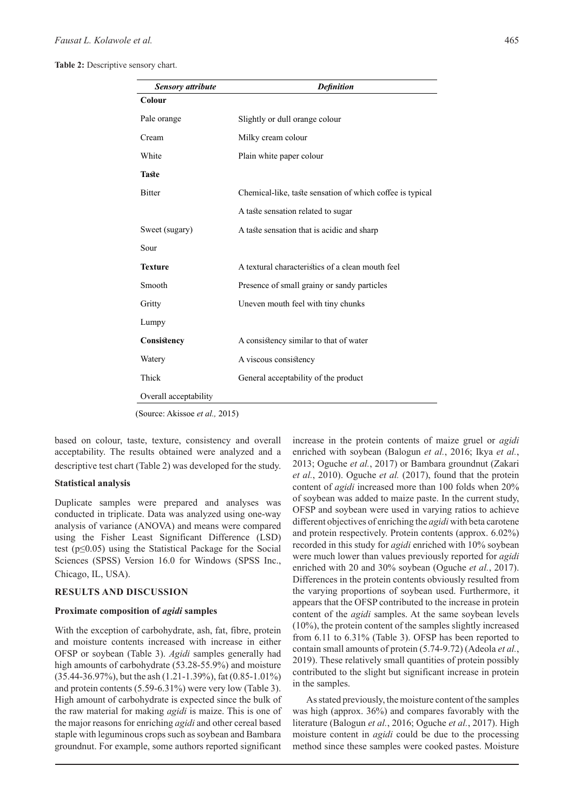**Table 2:** Descriptive sensory chart.

| <b>Sensory attribute</b> | <b>Definition</b>                                         |
|--------------------------|-----------------------------------------------------------|
| Colour                   |                                                           |
| Pale orange              | Slightly or dull orange colour                            |
| Cream                    | Milky cream colour                                        |
| White                    | Plain white paper colour                                  |
| <b>Taste</b>             |                                                           |
| <b>Bitter</b>            | Chemical-like, taste sensation of which coffee is typical |
|                          | A taste sensation related to sugar                        |
| Sweet (sugary)           | A taste sensation that is acidic and sharp                |
| Sour                     |                                                           |
| <b>Texture</b>           | A textural characteristics of a clean mouth feel          |
| Smooth                   | Presence of small grainy or sandy particles               |
| Gritty                   | Uneven mouth feel with tiny chunks                        |
| Lumpy                    |                                                           |
| Consistency              | A consistency similar to that of water                    |
| Watery                   | A viscous consistency                                     |
| Thick                    | General acceptability of the product                      |
| Overall acceptability    |                                                           |
|                          |                                                           |

(Source: Akissoe *et al.,* 2015)

based on colour, taste, texture, consistency and overall acceptability. The results obtained were analyzed and a descriptive test chart (Table 2) was developed for the study.

#### **Statistical analysis**

Duplicate samples were prepared and analyses was conducted in triplicate. Data was analyzed using one-way analysis of variance (ANOVA) and means were compared using the Fisher Least Significant Difference (LSD) test ( $p \le 0.05$ ) using the Statistical Package for the Social Sciences (SPSS) Version 16.0 for Windows (SPSS Inc., Chicago, IL, USA).

#### **RESULTS AND DISCUSSION**

#### **Proximate composition of** *agidi* **samples**

With the exception of carbohydrate, ash, fat, fibre, protein and moisture contents increased with increase in either OFSP or soybean (Table 3). *Agidi* samples generally had high amounts of carbohydrate (53.28-55.9%) and moisture (35.44-36.97%), but the ash (1.21-1.39%), fat (0.85-1.01%) and protein contents (5.59-6.31%) were very low (Table 3). High amount of carbohydrate is expected since the bulk of the raw material for making *agidi* is maize. This is one of the major reasons for enriching *agidi* and other cereal based staple with leguminous crops such as soybean and Bambara groundnut. For example, some authors reported significant

increase in the protein contents of maize gruel or *agidi* enriched with soybean (Balogun *et al.*, 2016; Ikya *et al.*, 2013; Oguche *et al.*, 2017) or Bambara groundnut (Zakari *et al.*, 2010). Oguche *et al.* (2017), found that the protein content of *agidi* increased more than 100 folds when 20% of soybean was added to maize paste. In the current study, OFSP and soybean were used in varying ratios to achieve different objectives of enriching the *agidi* with beta carotene and protein respectively. Protein contents (approx. 6.02%) recorded in this study for *agidi* enriched with 10% soybean were much lower than values previously reported for *agidi* enriched with 20 and 30% soybean (Oguche *et al.*, 2017). Differences in the protein contents obviously resulted from the varying proportions of soybean used. Furthermore, it appears that the OFSP contributed to the increase in protein content of the *agidi* samples. At the same soybean levels (10%), the protein content of the samples slightly increased from 6.11 to 6.31% (Table 3). OFSP has been reported to contain small amounts of protein (5.74-9.72) (Adeola *et al.*, 2019). These relatively small quantities of protein possibly contributed to the slight but significant increase in protein in the samples.

As stated previously, the moisture content of the samples was high (approx. 36%) and compares favorably with the literature (Balogun *et al.*, 2016; Oguche *et al.*, 2017). High moisture content in *agidi* could be due to the processing method since these samples were cooked pastes. Moisture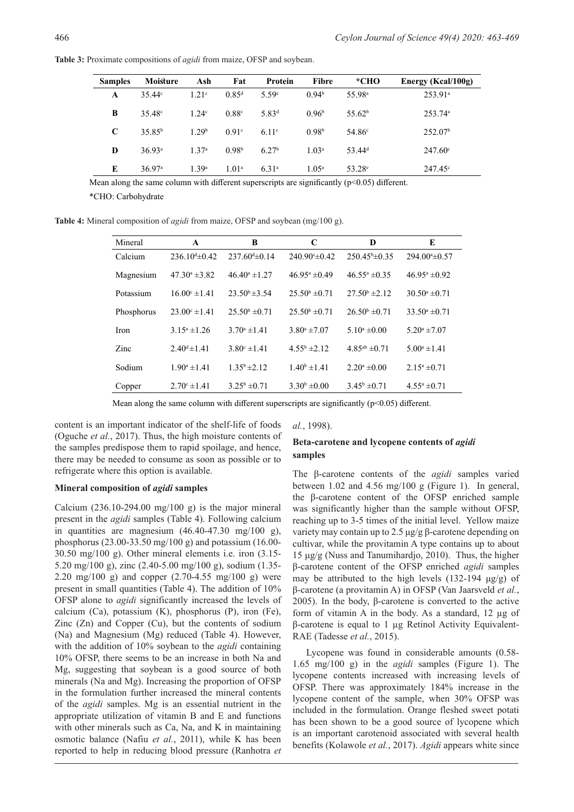$247.60c$ 247.45<sup>c</sup>

**Samples Moisture Ash Fat Protein Fibre \*CHO Energy (Kcal/100g) A B C**   $35.44c$ 35.48c 35.85b  $1.21c$  $1.24<sup>c</sup>$ 1.29b  $0.85<sup>d</sup>$ 0.88c  $0.91<sup>c</sup>$ 5.59e 5.83d 6.11c 0.94b  $0.96<sup>b</sup>$  $0.98<sup>b</sup>$ 55.98a 55.62b 54.86c 253.91a 253.74a 252.07b

 $6.27<sup>b</sup>$ 6.31a

1.03a  $1.05^{\rm a}$  53.44d 53.28e

**Table 3:** Proximate compositions of *agidi* from maize, OFSP and soybean.

Mean along the same column with different superscripts are significantly  $(p<0.05)$  different.

 $0.98<sup>b</sup>$ 1.01a

\*CHO: Carbohydrate

36.93a 36.97a

**D E**

**Table 4:** Mineral composition of *agidi* from maize, OFSP and soybean (mg/100 g).

1.37a 1.39a

| Mineral     | $\mathbf A$              | B                        | C                        | D                        | E                         |
|-------------|--------------------------|--------------------------|--------------------------|--------------------------|---------------------------|
| Calcium     | $236.10^{d} \pm 0.42$    | $237.60 \pm 0.14$        | $240.90 \pm 0.42$        | $250.45^{\circ}$ ±0.35   | $294.00* \pm 0.57$        |
| Magnesium   | $47.30^{\circ}$ ±3.82    | $46.40^{\circ} \pm 1.27$ | $46.95^{\circ} \pm 0.49$ | $46.55^{\circ} \pm 0.35$ | $46.95^{\circ} \pm 0.92$  |
| Potassium   | $16.00^{\circ} \pm 1.41$ | $23.50^{\circ} \pm 3.54$ | $25.50^{\rm b} \pm 0.71$ | $27.50^{\rm b}$ ±2.12    | $30.50^{\circ} \pm 0.71$  |
| Phosphorus  | $23.00^{\circ} \pm 1.41$ | $25.50^{\rm b} \pm 0.71$ | $25.50^{\rm b} \pm 0.71$ | $26.50^{\rm b} \pm 0.71$ | $33.50^{\circ} \pm 0.71$  |
| <b>Iron</b> | $3.15^a \pm 1.26$        | $3.70^{\circ}$ ± 1.41    | $3.80^{\circ}$ ±7.07     | $5.10^a \pm 0.00$        | $5.20^{\circ}$ ±7.07      |
| Zinc        | $2.40^d \pm 1.41$        | $3.80^{\circ} \pm 1.41$  | $4.55^b \pm 2.12$        | $4.85^{ab} \pm 0.71$     | $5.00^a \pm 1.41$         |
| Sodium      | $1.90^a \pm 1.41$        | $1.35^b \pm 2.12$        | $1.40^b \pm 1.41$        | $2.20^a \pm 0.00$        | $2.15^a \pm 0.71$         |
| Copper      | $2.70^{\circ}$ ±1.41     | $3.25^b \pm 0.71$        | $3.30^b \pm 0.00$        | $3.45^{\rm b}$ ±0.71     | $4.55^{\mathrm{a}}$ ±0.71 |

Mean along the same column with different superscripts are significantly  $(p<0.05)$  different.

content is an important indicator of the shelf-life of foods (Oguche *et al.*, 2017). Thus, the high moisture contents of the samples predispose them to rapid spoilage, and hence, there may be needed to consume as soon as possible or to refrigerate where this option is available.

### **Mineral composition of** *agidi* **samples**

Calcium (236.10-294.00 mg/100 g) is the major mineral present in the *agidi* samples (Table 4). Following calcium in quantities are magnesium  $(46.40-47.30 \text{ mg}/100 \text{ g})$ , phosphorus (23.00-33.50 mg/100 g) and potassium (16.00- 30.50 mg/100 g). Other mineral elements i.e. iron (3.15- 5.20 mg/100 g), zinc (2.40-5.00 mg/100 g), sodium (1.35- 2.20 mg/100 g) and copper  $(2.70-4.55 \text{ mg}/100 \text{ g})$  were present in small quantities (Table 4). The addition of 10% OFSP alone to *agidi* significantly increased the levels of calcium (Ca), potassium (K), phosphorus (P), iron (Fe), Zinc (Zn) and Copper (Cu), but the contents of sodium (Na) and Magnesium (Mg) reduced (Table 4). However, with the addition of 10% soybean to the *agidi* containing 10% OFSP, there seems to be an increase in both Na and Mg, suggesting that soybean is a good source of both minerals (Na and Mg). Increasing the proportion of OFSP in the formulation further increased the mineral contents of the *agidi* samples. Mg is an essential nutrient in the appropriate utilization of vitamin B and E and functions with other minerals such as Ca, Na, and K in maintaining osmotic balance (Nafiu *et al.*, 2011), while K has been reported to help in reducing blood pressure (Ranhotra *et* 

*al.*, 1998).

### **Beta-carotene and lycopene contents of** *agidi* **samples**

The β-carotene contents of the *agidi* samples varied between 1.02 and 4.56 mg/100 g (Figure 1). In general, the β-carotene content of the OFSP enriched sample was significantly higher than the sample without OFSP, reaching up to 3-5 times of the initial level. Yellow maize variety may contain up to 2.5 μg/g β-carotene depending on cultivar, while the provitamin A type contains up to about 15 μg/g (Nuss and Tanumihardjo, 2010). Thus, the higher β-carotene content of the OFSP enriched *agidi* samples may be attributed to the high levels  $(132-194 \mu g/g)$  of β-carotene (a provitamin A) in OFSP (Van Jaarsveld *et al.*, 2005). In the body, β-carotene is converted to the active form of vitamin A in the body. As a standard, 12 µg of β-carotene is equal to 1 µg Retinol Activity Equivalent-RAE (Tadesse *et al.*, 2015).

Lycopene was found in considerable amounts (0.58- 1.65 mg/100 g) in the *agidi* samples (Figure 1). The lycopene contents increased with increasing levels of OFSP. There was approximately 184% increase in the lycopene content of the sample, when 30% OFSP was included in the formulation. Orange fleshed sweet potati has been shown to be a good source of lycopene which is an important carotenoid associated with several health benefits (Kolawole *et al.*, 2017). *Agidi* appears white since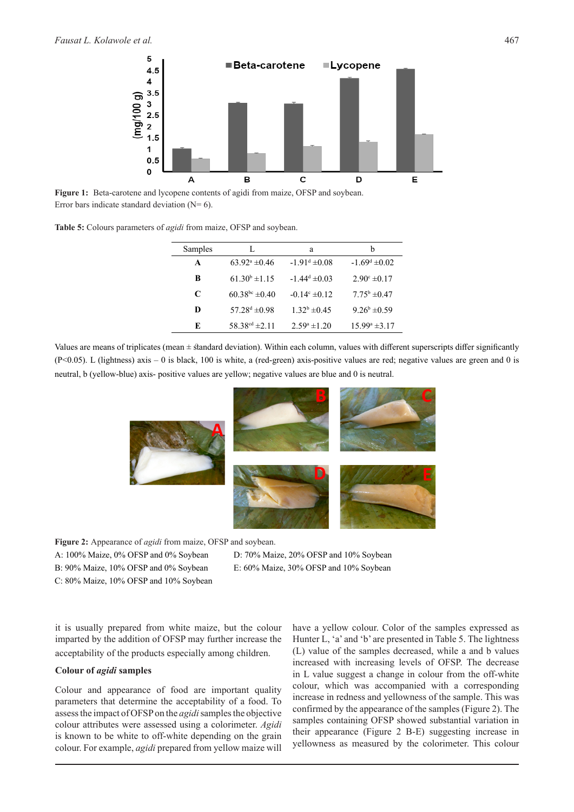

**Figure 1:** Beta-carotene and lycopene contents of agidi from maize, OFSP and soybean. Error bars indicate standard deviation  $(N= 6)$ .

| <b>Table 5:</b> Colours parameters of <i>agidi</i> from maize, OFSP and soybean. |  |  |  |  |  |
|----------------------------------------------------------------------------------|--|--|--|--|--|
|----------------------------------------------------------------------------------|--|--|--|--|--|

| Samples | L                        | a                        | h                         |
|---------|--------------------------|--------------------------|---------------------------|
| A       | $63.92^{\circ} \pm 0.46$ | $-1.91^{\rm d} \pm 0.08$ | $-1.69^d \pm 0.02$        |
| B       | $61.30^b \pm 1.15$       | $-1.44^d \pm 0.03$       | $2.90^{\circ} \pm 0.17$   |
| C       | $60.38^{bc} \pm 0.40$    | $-0.14^{\circ} \pm 0.12$ | $7.75^{\rm b}$ $\pm 0.47$ |
| D       | $57.28^{\rm d} \pm 0.98$ | $1.32^b \pm 0.45$        | $9.26^b \pm 0.59$         |
| F.      | $58.38^{cd} \pm 2.11$    | $2.59^a \pm 1.20$        | $15.99^{\circ}$ ± 3.17    |

Values are means of triplicates (mean ± standard deviation). Within each column, values with different superscripts differ significantly (P<0.05). L (lightness) axis – 0 is black, 100 is white, a (red-green) axis-positive values are red; negative values are green and 0 is neutral, b (yellow-blue) axis- positive values are yellow; negative values are blue and 0 is neutral.



**Figure 2:** Appearance of *agidi* from maize, OFSP and soybean.

D: 70% Maize, 20% OFSP and 10% Soybean

B: 90% Maize, 10% OFSP and 0% Soybean C: 80% Maize, 10% OFSP and 10% Soybean

A: 100% Maize, 0% OFSP and 0% Soybean

E: 60% Maize, 30% OFSP and 10% Soybean

it is usually prepared from white maize, but the colour imparted by the addition of OFSP may further increase the acceptability of the products especially among children.

#### **Colour of** *agidi* **samples**

Colour and appearance of food are important quality parameters that determine the acceptability of a food. To assess the impact of OFSP on the *agidi* samples the objective colour attributes were assessed using a colorimeter. *Agidi* is known to be white to off-white depending on the grain colour. For example, *agidi* prepared from yellow maize will have a yellow colour. Color of the samples expressed as Hunter L, 'a' and 'b' are presented in Table 5. The lightness (L) value of the samples decreased, while a and b values increased with increasing levels of OFSP. The decrease in L value suggest a change in colour from the off-white colour, which was accompanied with a corresponding increase in redness and yellowness of the sample. This was confirmed by the appearance of the samples (Figure 2). The samples containing OFSP showed substantial variation in their appearance (Figure 2 B-E) suggesting increase in yellowness as measured by the colorimeter. This colour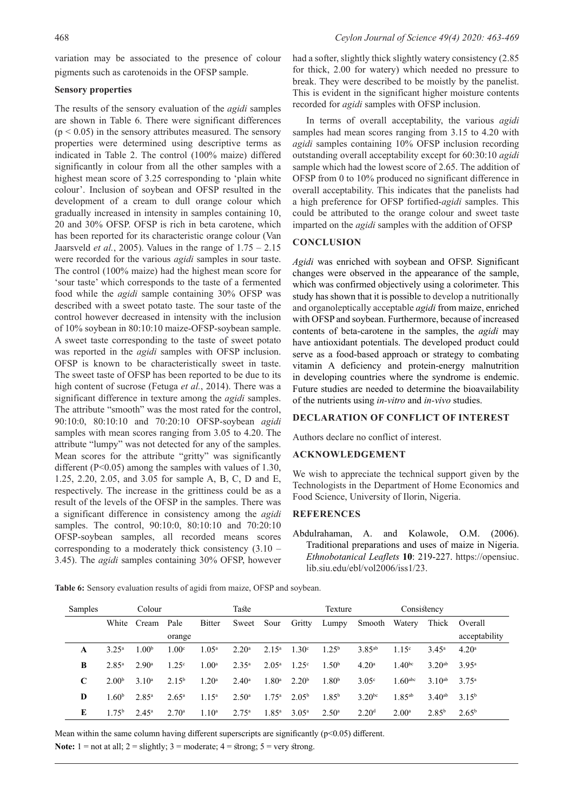variation may be associated to the presence of colour pigments such as carotenoids in the OFSP sample.

### **Sensory properties**

The results of the sensory evaluation of the *agidi* samples are shown in Table 6. There were significant differences  $(p < 0.05)$  in the sensory attributes measured. The sensory properties were determined using descriptive terms as indicated in Table 2. The control (100% maize) differed significantly in colour from all the other samples with a highest mean score of 3.25 corresponding to 'plain white colour'. Inclusion of soybean and OFSP resulted in the development of a cream to dull orange colour which gradually increased in intensity in samples containing 10, 20 and 30% OFSP. OFSP is rich in beta carotene, which has been reported for its characteristic orange colour (Van Jaarsveld *et al.*, 2005). Values in the range of 1.75 – 2.15 were recorded for the various *agidi* samples in sour taste. The control (100% maize) had the highest mean score for 'sour taste' which corresponds to the taste of a fermented food while the *agidi* sample containing 30% OFSP was described with a sweet potato taste. The sour taste of the control however decreased in intensity with the inclusion of 10% soybean in 80:10:10 maize-OFSP-soybean sample. A sweet taste corresponding to the taste of sweet potato was reported in the *agidi* samples with OFSP inclusion. OFSP is known to be characteristically sweet in taste. The sweet taste of OFSP has been reported to be due to its high content of sucrose (Fetuga *et al.*, 2014). There was a significant difference in texture among the *agidi* samples. The attribute "smooth" was the most rated for the control, 90:10:0, 80:10:10 and 70:20:10 OFSP-soybean *agidi* samples with mean scores ranging from 3.05 to 4.20. The attribute "lumpy" was not detected for any of the samples. Mean scores for the attribute "gritty" was significantly different (P<0.05) among the samples with values of 1.30, 1.25, 2.20, 2.05, and 3.05 for sample A, B, C, D and E, respectively. The increase in the grittiness could be as a result of the levels of the OFSP in the samples. There was a significant difference in consistency among the *agidi* samples. The control, 90:10:0, 80:10:10 and 70:20:10 OFSP-soybean samples, all recorded means scores corresponding to a moderately thick consistency (3.10 – 3.45). The *agidi* samples containing 30% OFSP, however had a softer, slightly thick slightly watery consistency (2.85 for thick, 2.00 for watery) which needed no pressure to break. They were described to be moistly by the panelist. This is evident in the significant higher moisture contents recorded for *agidi* samples with OFSP inclusion.

In terms of overall acceptability, the various *agidi* samples had mean scores ranging from 3.15 to 4.20 with *agidi* samples containing 10% OFSP inclusion recording outstanding overall acceptability except for 60:30:10 *agidi* sample which had the lowest score of 2.65. The addition of OFSP from 0 to 10% produced no significant difference in overall acceptability. This indicates that the panelists had a high preference for OFSP fortified-*agidi* samples. This could be attributed to the orange colour and sweet taste imparted on the *agidi* samples with the addition of OFSP

### **CONCLUSION**

*Agidi* was enriched with soybean and OFSP. Significant changes were observed in the appearance of the sample, which was confirmed objectively using a colorimeter. This study has shown that it is possible to develop a nutritionally and organoleptically acceptable *agidi* from maize, enriched with OFSP and soybean. Furthermore, because of increased contents of beta-carotene in the samples, the *agidi* may have antioxidant potentials. The developed product could serve as a food-based approach or strategy to combating vitamin A deficiency and protein-energy malnutrition in developing countries where the syndrome is endemic. Future studies are needed to determine the bioavailability of the nutrients using *in-vitro* and *in-vivo* studies.

## **DECLARATION OF CONFLICT OF INTEREST**

Authors declare no conflict of interest.

### **ACKNOWLEDGEMENT**

We wish to appreciate the technical support given by the Technologists in the Department of Home Economics and Food Science, University of Ilorin, Nigeria.

## **REFERENCES**

Abdulrahaman, A. and Kolawole, O.M. (2006). Traditional preparations and uses of maize in Nigeria. *Ethnobotanical Leaflets* **10**: 219-227. https://opensiuc. lib.siu.edu/ebl/vol2006/iss1/23.

**Table 6:** Sensory evaluation results of agidi from maize, OFSP and soybean.

| Samples     | Colour            |                  |                   | Taste             |                   | Texture           |                   | Consistency       |                   |                      |                |                   |
|-------------|-------------------|------------------|-------------------|-------------------|-------------------|-------------------|-------------------|-------------------|-------------------|----------------------|----------------|-------------------|
|             | White             | Cream            | Pale              | Bitter            | Sweet             | Sour              | Gritty            | Lumpy             | Smooth            | Watery               | Thick          | Overall           |
|             |                   |                  | orange            |                   |                   |                   |                   |                   |                   |                      |                | acceptability     |
| A           | $3.25^{\circ}$    | .00 <sup>b</sup> | 1.00 <sup>c</sup> | $1.05^{\rm a}$    | 2.20 <sup>a</sup> | $2.15^a$          | 1.30 <sup>c</sup> | $1.25^{b}$        | $3.85^{ab}$       | 1.15 <sup>c</sup>    | $3.45^{\circ}$ | 4.20 <sup>a</sup> |
| B           | $2.85^{\circ}$    | $2.90^{\circ}$   | $1.25^{\circ}$    | 1.00 <sup>a</sup> | $2.35^{a}$        | $2.05^{\rm a}$    | 1.25 <sup>c</sup> | 1.50 <sup>b</sup> | 4.20 <sup>a</sup> | 1.40 <sup>bc</sup>   | $3.20^{ab}$    | $3.95^{\rm a}$    |
| $\mathbf C$ | 2.00 <sup>b</sup> | $3.10^a$         | $2.15^{b}$        | 1.20 <sup>a</sup> | $2.40^{\circ}$    | 1.80 <sup>a</sup> | 2.20 <sup>b</sup> | 1.80 <sup>b</sup> | 3.05 <sup>c</sup> | $1.60^{\rm abc}$     | $3.10^{ab}$    | $3.75^{\circ}$    |
| D           | 1.60 <sup>b</sup> | $2.85^{\rm a}$   | $2.65^{\circ}$    | $1.15^a$          | $2.50^{\circ}$    | $1.75^{\rm a}$    | $2.05^{\rm b}$    | $1.85^{b}$        | $3.20^{bc}$       | $1.85$ <sup>ab</sup> | $3.40^{ab}$    | $3.15^{b}$        |
| E           | $1.75^{\rm b}$    | $2.45^{\rm a}$   | $2.70^{\circ}$    | $1.10^{\circ}$    | $2.75^{\rm a}$    | $1.85^{\rm a}$    | $3.05^{\rm a}$    | $2.50^{\circ}$    | 2.20 <sup>d</sup> | $2.00^{\circ}$       | $2.85^{\rm b}$ | $2.65^{\rm b}$    |

Mean within the same column having different superscripts are significantly  $(p<0.05)$  different.

**Note:**  $1 = not at all$ ;  $2 = slightly$ ;  $3 = moderate$ ;  $4 = strong$ ;  $5 = very$  strong.